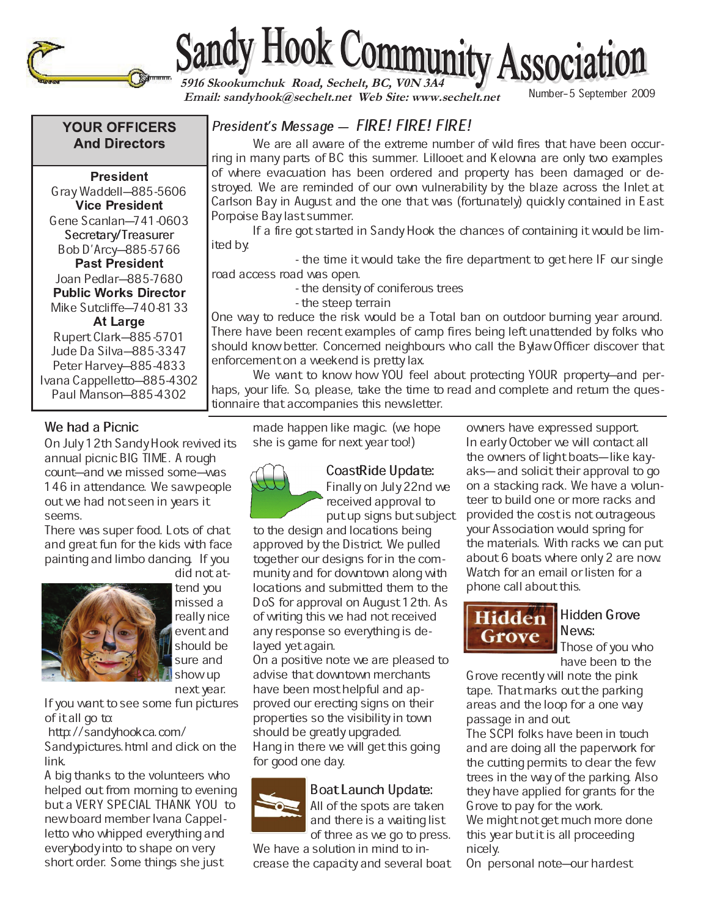

# Sandy Hook Community Association

 **Email: sandyhook@sechelt.net Web Site: www.sechelt.net** 

#### **YOUR OFFICERS And Directors**

 - - Gray Waddell-885-5606 - - Gene Scanlan-741-0603 Secretary/Treasurer Bob D'Arcy-885-5766 - - Joan Pedlar-885-7680 **Public Works Director** Mike Sutcliffe-740-8133 Rupert Clark-885-5701 Jude Da Silva–885-3347 Peter Harvey-885-4833 Ivana Cappelletto-885-4302 Paul Manson-885-4302

#### President's Message — FIRE! FIRE! FIRE!

We are all aware of the extreme number of wild fires that have been occurring in many parts of BC this summer. Lillooet and Kelowna are only two examples of where evacuation has been ordered and property has been damaged or destroyed. We are reminded of our own vulnerability by the blaze across the Inlet at Carlson Bay in August and the one that was (fortunately) quickly contained in East Porpoise Bay last summer.

If a fire got started in Sandy Hook the chances of containing it would be limited by:

- the time it would take the fire department to get here IF our single road access road was open.

- the density of coniferous trees

- the steep terrain

One way to reduce the risk would be a Total ban on outdoor burning year around. There have been recent examples of camp fires being left unattended by folks who should know better. Concerned neighbours who call the Bylaw Officer discover that enforcement on a weekend is pretty lax.

We want to know how YOU feel about protecting YOUR property—and perhaps, your life. So, please, take the time to read and complete and return the questionnaire that accompanies this newsletter.

#### We had a Picnic

On July 12th Sandy Hook revived its annual picnic BIG TIME. A rough count-and we missed some-was 146 in attendance. We saw people out we had not seen in years it seems.

There was super food. Lots of chat and great fun for the kids with face painting and limbo dancing. If you



did not attend you missed a really nice event and should be sure and show up

next year.

If you want to see some fun pictures of it all go to:

http://sandyhookca.com/

Sandypictures.html and click on the link.

A big thanks to the volunteers who helped out from morning to evening but a VERY SPECIAL THANK YOU to new board member Ivana Cappelletto who whipped everything and everybody into to shape on very short order. Some things she just

made happen like magic. (we hope she is game for next year too!)



CoastRide Update: Finally on July 22nd we received approval to

put up signs but subject to the design and locations being approved by the District. We pulled together our designs for in the community and for downtown along with locations and submitted them to the DoS for approval on August 12th. As of writing this we had not received any response so everything is delayed yet again.

On a positive note we are pleased to advise that downtown merchants have been most helpful and approved our erecting signs on their properties so the visibility in town should be greatly upgraded. Hang in there we will get this going for good one day.

#### Boat Launch Update:



All of the spots are taken and there is a waiting list of three as we go to press.

We have a solution in mind to increase the capacity and several boat

owners have expressed support. In early October we will contact all the owners of light boats-like kayaks-and solicit their approval to go on a stacking rack. We have a volunteer to build one or more racks and provided the cost is not outrageous your Association would spring for the materials. With racks we can put about 6 boats where only 2 are now. Watch for an email or listen for a phone call about this.



#### Hidden Grove News:

Those of you who have been to the

Grove recently will note the pink tape. That marks out the parking areas and the loop for a one way passage in and out.

The SCPI folks have been in touch and are doing all the paperwork for the cutting permits to clear the few trees in the way of the parking. Also they have applied for grants for the Grove to pay for the work. We might not get much more done this year but it is all proceeding nicely.

On personal note-our hardest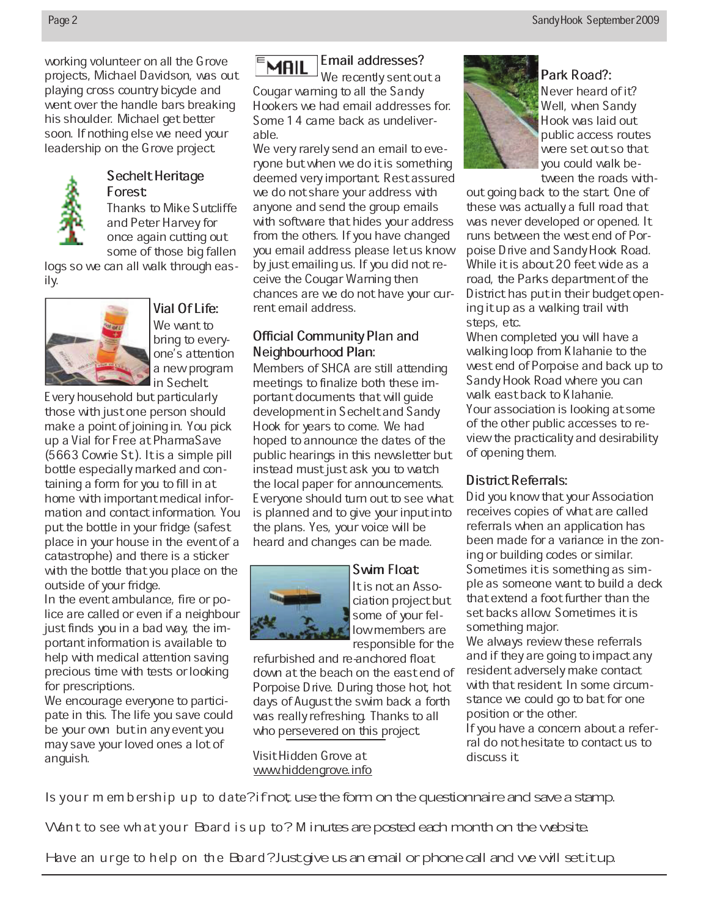working volunteer on all the Grove projects, Michael Davidson, was out playing cross country bicycle and went over the handle bars breaking his shoulder. Michael get better soon. If nothing else we need your leadership on the Grove project.



#### Sechelt Heritage Forest

Thanks to Mike Sutcliffe and Peter Harvey for once again cutting out some of those big fallen

logs so we can all walk through easily.



#### Vial Of Life: We want to bring to everyone's attention a new program

 $\mathsf I$  in Sechelt. Every household but particularly those with just one person should make a point of joining in. You pick up a Vial for Free at PharmaSave (5663 Cowrie St.). It is a simple pill bottle especially marked and containing a form for you to fill in at home with important medical information and contact information. You put the bottle in your fridge (safest place in your house in the event of a catastrophe) and there is a sticker with the bottle that you place on the outside of your fridge.

In the event ambulance, fire or police are called or even if a neighbour just finds you in a bad way, the important information is available to help with medical attention saving precious time with tests or looking for prescriptions.

We encourage everyone to participate in this. The life you save could be your own but in any event you may save your loved ones a lot of anguish.



We recently sent out a Cougar warning to all the Sandy Hookers we had email addresses for. Some 14 came back as undeliverable.

We very rarely send an email to everyone but when we do it is something deemed very important. Rest assured we do not share your address with anyone and send the group emails with software that hides your address from the others. If you have changed you email address please let us know by just emailing us. If you did not receive the Cougar Warning then chances are we do not have your current email address.

#### Official Community Plan and Neighbourhood Plan:

Members of SHCA are still attending meetings to finalize both these important documents that will guide development in Sechelt and Sandy Hook for years to come. We had hoped to announce the dates of the public hearings in this newsletter but instead must just ask you to watch the local paper for announcements. Everyone should turn out to see what is planned and to give your input into the plans. Yes, your voice will be heard and changes can be made.



Swim Float It is not an Association project but some of your fellow members are responsible for the

refurbished and re-anchored float down at the beach on the east end of Porpoise Drive. During those hot, hot days of August the swim back a forth was really refreshing. Thanks to all who persevered on this project.

Visit Hidden Grove at www.hiddengrove.info

## Park Road?:

Never heard of it? Well, when Sandy Hook was laid out public access routes were set out so that you could walk between the roads with-

out going back to the start. One of these was actually a full road that was never developed or opened. It runs between the west end of Porpoise Drive and Sandy Hook Road. While it is about 20 feet wide as a road, the Parks department of the District has put in their budget opening it up as a walking trail with steps, etc.

When completed you will have a walking loop from Klahanie to the west end of Porpoise and back up to Sandy Hook Road where you can walk east back to Klahanie. Your association is looking at some of the other public accesses to review the practicality and desirability of opening them.

#### District Referrals:

Did you know that your Association receives copies of what are called referrals when an application has been made for a variance in the zoning or building codes or similar. Sometimes it is something as simple as someone want to build a deck that extend a foot further than the set backs allow. Sometimes it is something major.

We always review these referrals and if they are going to impact any resident adversely make contact with that resident. In some circumstance we could go to bat for one position or the other.

If you have a concern about a referral do not hesitate to contact us to discuss it.

Is your membership up to date? if not, use the form on the questionnaire and save a stamp.

Want to see what your Board is up to? Minutes are posted each month on the website.

Have an urge to help on the Board? Just give us an email or phone call and we will set it up.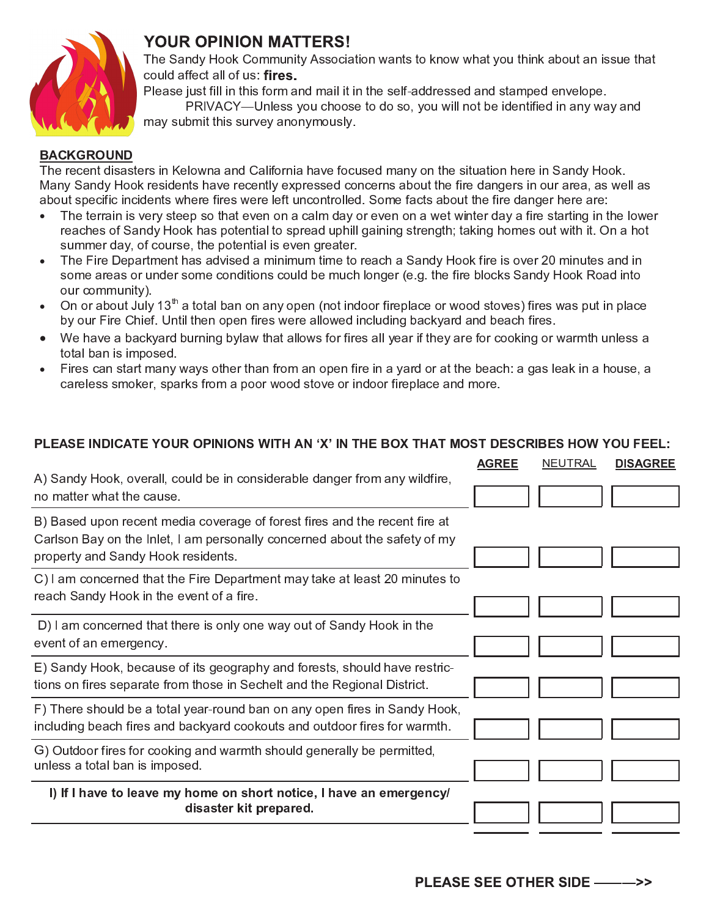

### **YOUR OPINION MATTERS!**

The Sandy Hook Community Association wants to know what you think about an issue that could affect all of us: fires.

Please just fill in this form and mail it in the self-addressed and stamped envelope. PRIVACY-Unless you choose to do so, you will not be identified in any way and

may submit this survey anonymously.

#### **BACKGROUND**

The recent disasters in Kelowna and California have focused many on the situation here in Sandy Hook. Many Sandy Hook residents have recently expressed concerns about the fire dangers in our area, as well as about specific incidents where fires were left uncontrolled. Some facts about the fire danger here are:

- $\bullet$ The terrain is very steep so that even on a calm day or even on a wet winter day a fire starting in the lower reaches of Sandy Hook has potential to spread uphill gaining strength; taking homes out with it. On a hot summer day, of course, the potential is even greater.
- The Fire Department has advised a minimum time to reach a Sandy Hook fire is over 20 minutes and in some areas or under some conditions could be much longer (e.g. the fire blocks Sandy Hook Road into our community).
- On or about July 13<sup>th</sup> a total ban on any open (not indoor fireplace or wood stoves) fires was put in place by our Fire Chief. Until then open fires were allowed including backyard and beach fires.
- We have a backyard burning bylaw that allows for fires all year if they are for cooking or warmth unless a total ban is imposed.
- Fires can start many ways other than from an open fire in a yard or at the beach: a gas leak in a house, a careless smoker, sparks from a poor wood stove or indoor fireplace and more.

#### PLEASE INDICATE YOUR OPINIONS WITH AN 'X' IN THE BOX THAT MOST DESCRIBES HOW YOU FEEL:

| A) Sandy Hook, overall, could be in considerable danger from any wildfire,                                                                                                                     | <b>AGREE</b> | <b>NEUTRAL</b> | <b>DISAGREE</b> |
|------------------------------------------------------------------------------------------------------------------------------------------------------------------------------------------------|--------------|----------------|-----------------|
| no matter what the cause.                                                                                                                                                                      |              |                |                 |
| B) Based upon recent media coverage of forest fires and the recent fire at<br>Carlson Bay on the Inlet, I am personally concerned about the safety of my<br>property and Sandy Hook residents. |              |                |                 |
| C) I am concerned that the Fire Department may take at least 20 minutes to<br>reach Sandy Hook in the event of a fire.                                                                         |              |                |                 |
| D) I am concerned that there is only one way out of Sandy Hook in the<br>event of an emergency.                                                                                                |              |                |                 |
| E) Sandy Hook, because of its geography and forests, should have restric-<br>tions on fires separate from those in Sechelt and the Regional District.                                          |              |                |                 |
| F) There should be a total year-round ban on any open fires in Sandy Hook,<br>including beach fires and backyard cookouts and outdoor fires for warmth.                                        |              |                |                 |
| G) Outdoor fires for cooking and warmth should generally be permitted,<br>unless a total ban is imposed.                                                                                       |              |                |                 |
| I) If I have to leave my home on short notice, I have an emergency/<br>disaster kit prepared.                                                                                                  |              |                |                 |